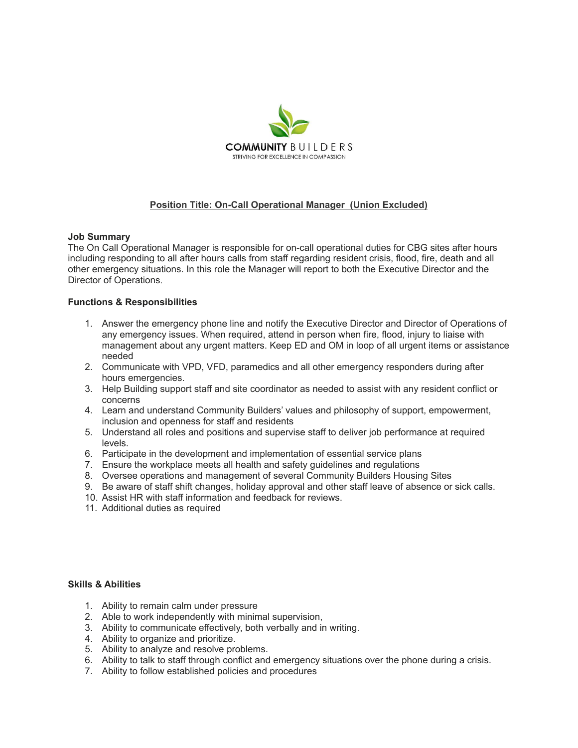

# **Position Title: On-Call Operational Manager (Union Excluded)**

#### **Job Summary**

The On Call Operational Manager is responsible for on-call operational duties for CBG sites after hours including responding to all after hours calls from staff regarding resident crisis, flood, fire, death and all other emergency situations. In this role the Manager will report to both the Executive Director and the Director of Operations.

### **Functions & Responsibilities**

- 1. Answer the emergency phone line and notify the Executive Director and Director of Operations of any emergency issues. When required, attend in person when fire, flood, injury to liaise with management about any urgent matters. Keep ED and OM in loop of all urgent items or assistance needed
- 2. Communicate with VPD, VFD, paramedics and all other emergency responders during after hours emergencies.
- 3. Help Building support staff and site coordinator as needed to assist with any resident conflict or concerns
- 4. Learn and understand Community Builders' values and philosophy of support, empowerment, inclusion and openness for staff and residents
- 5. Understand all roles and positions and supervise staff to deliver job performance at required levels.
- 6. Participate in the development and implementation of essential service plans
- 7. Ensure the workplace meets all health and safety guidelines and regulations
- 8. Oversee operations and management of several Community Builders Housing Sites
- 9. Be aware of staff shift changes, holiday approval and other staff leave of absence or sick calls.
- 10. Assist HR with staff information and feedback for reviews.
- 11. Additional duties as required

## **Skills & Abilities**

- 1. Ability to remain calm under pressure
- 2. Able to work independently with minimal supervision,
- 3. Ability to communicate effectively, both verbally and in writing.
- 4. Ability to organize and prioritize.
- 5. Ability to analyze and resolve problems.
- 6. Ability to talk to staff through conflict and emergency situations over the phone during a crisis.
- 7. Ability to follow established policies and procedures